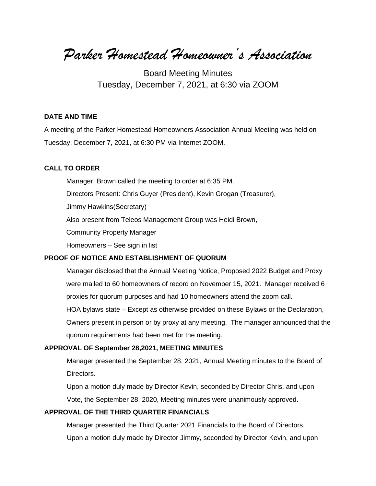*Parker Homestead Homeowner's Association*

Board Meeting Minutes Tuesday, December 7, 2021, at 6:30 via ZOOM

### **DATE AND TIME**

A meeting of the Parker Homestead Homeowners Association Annual Meeting was held on Tuesday, December 7, 2021, at 6:30 PM via Internet ZOOM.

#### **CALL TO ORDER**

Manager, Brown called the meeting to order at 6:35 PM.

Directors Present: Chris Guyer (President), Kevin Grogan (Treasurer),

Jimmy Hawkins(Secretary)

Also present from Teleos Management Group was Heidi Brown,

Community Property Manager

Homeowners – See sign in list

### **PROOF OF NOTICE AND ESTABLISHMENT OF QUORUM**

Manager disclosed that the Annual Meeting Notice, Proposed 2022 Budget and Proxy were mailed to 60 homeowners of record on November 15, 2021. Manager received 6 proxies for quorum purposes and had 10 homeowners attend the zoom call.

HOA bylaws state – Except as otherwise provided on these Bylaws or the Declaration,

Owners present in person or by proxy at any meeting. The manager announced that the quorum requirements had been met for the meeting.

### **APPROVAL OF September 28,2021, MEETING MINUTES**

 Manager presented the September 28, 2021, Annual Meeting minutes to the Board of Directors.

 Upon a motion duly made by Director Kevin, seconded by Director Chris, and upon Vote, the September 28, 2020, Meeting minutes were unanimously approved.

## **APPROVAL OF THE THIRD QUARTER FINANCIALS**

 Manager presented the Third Quarter 2021 Financials to the Board of Directors. Upon a motion duly made by Director Jimmy, seconded by Director Kevin, and upon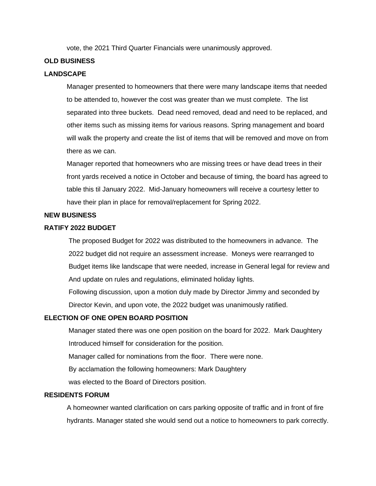vote, the 2021 Third Quarter Financials were unanimously approved.

### **OLD BUSINESS**

## **LANDSCAPE**

Manager presented to homeowners that there were many landscape items that needed to be attended to, however the cost was greater than we must complete. The list separated into three buckets. Dead need removed, dead and need to be replaced, and other items such as missing items for various reasons. Spring management and board will walk the property and create the list of items that will be removed and move on from there as we can.

 Manager reported that homeowners who are missing trees or have dead trees in their front yards received a notice in October and because of timing, the board has agreed to table this til January 2022. Mid-January homeowners will receive a courtesy letter to have their plan in place for removal/replacement for Spring 2022.

### **NEW BUSINESS**

#### **RATIFY 2022 BUDGET**

The proposed Budget for 2022 was distributed to the homeowners in advance. The 2022 budget did not require an assessment increase. Moneys were rearranged to Budget items like landscape that were needed, increase in General legal for review and And update on rules and regulations, eliminated holiday lights.

 Following discussion, upon a motion duly made by Director Jimmy and seconded by Director Kevin, and upon vote, the 2022 budget was unanimously ratified.

### **ELECTION OF ONE OPEN BOARD POSITION**

 Manager stated there was one open position on the board for 2022. Mark Daughtery Introduced himself for consideration for the position.

Manager called for nominations from the floor. There were none.

By acclamation the following homeowners: Mark Daughtery

was elected to the Board of Directors position.

## **RESIDENTS FORUM**

A homeowner wanted clarification on cars parking opposite of traffic and in front of fire hydrants. Manager stated she would send out a notice to homeowners to park correctly.